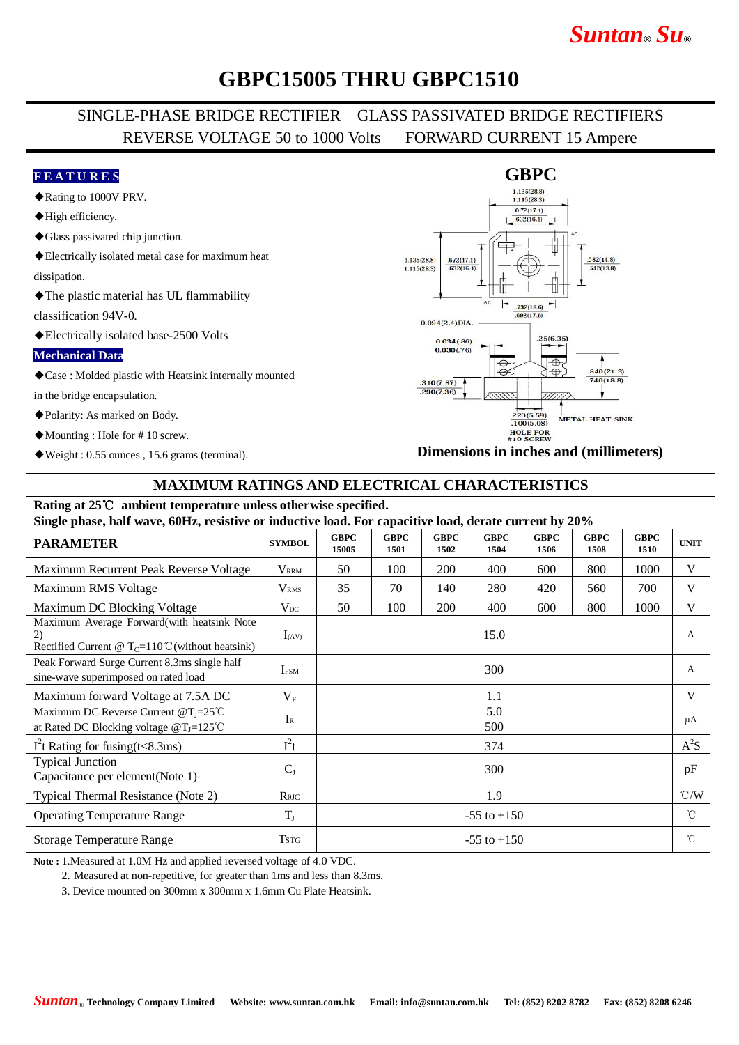# *Suntan***®** *Su***®**

## **GBPC15005 THRU GBPC1510**

### SINGLE-PHASE BRIDGE RECTIFIER GLASS PASSIVATED BRIDGE RECTIFIERS REVERSE VOLTAGE 50 to 1000 Volts FORWARD CURRENT 15 Ampere

#### **F E A T U R E S**

- ◆Rating to 1000V PRV.
- ◆High efficiency.
- ◆Glass passivated chip junction.
- ◆Electrically isolated metal case for maximum heat

dissipation.

◆The plastic material has UL flammability

classification 94V-0.

◆Electrically isolated base-2500 Volts

#### **Mechanical Data**

◆Case : Molded plastic with Heatsink internally mounted

in the bridge encapsulation.

- ◆Polarity: As marked on Body.
- ◆Mounting : Hole for # 10 screw.
- ◆Weight : 0.55 ounces , 15.6 grams (terminal).



**Dimensions in inches and (millimeters)**

#### **MAXIMUM RATINGS AND ELECTRICAL CHARACTERISTICS**

### **Rating at 25**℃ **ambient temperature unless otherwise specified.**

**Single phase, half wave, 60Hz, resistive or inductive load. For capacitive load, derate current by 20%**

| <b>PARAMETER</b>                                                                                                 | <b>SYMBOL</b>                        | <b>GBPC</b><br>15005 | <b>GBPC</b><br>1501 | <b>GBPC</b><br>1502 | <b>GBPC</b><br>1504 | <b>GBPC</b><br>1506 | <b>GBPC</b><br>1508 | <b>GBPC</b><br>1510 | <b>UNIT</b>   |
|------------------------------------------------------------------------------------------------------------------|--------------------------------------|----------------------|---------------------|---------------------|---------------------|---------------------|---------------------|---------------------|---------------|
| Maximum Recurrent Peak Reverse Voltage                                                                           | <b>V</b> <sub>RRM</sub>              | 50                   | 100                 | 200                 | 400                 | 600                 | 800                 | 1000                | V             |
| Maximum RMS Voltage                                                                                              | V <sub>RMS</sub>                     | 35                   | 70                  | 140                 | 280                 | 420                 | 560                 | 700                 | V             |
| Maximum DC Blocking Voltage                                                                                      | $V_{DC}$                             | 50                   | 100                 | 200                 | 400                 | 600                 | 800                 | 1000                | V             |
| Maximum Average Forward(with heatsink Note<br>2)<br>Rectified Current @ T <sub>C</sub> =110°C (without heatsink) | $I_{(AV)}$                           | 15.0                 |                     |                     |                     |                     |                     |                     | A             |
| Peak Forward Surge Current 8.3ms single half<br>sine-wave superimposed on rated load                             | <b>IFSM</b>                          | 300                  |                     |                     |                     |                     |                     |                     | A             |
| Maximum forward Voltage at 7.5A DC                                                                               | $V_{\rm F}$                          | 1.1                  |                     |                     |                     |                     |                     |                     | V             |
| Maximum DC Reverse Current @T <sub>I</sub> =25°C<br>at Rated DC Blocking voltage $@T_J=125^{\circ}C$             | $I_{R}$                              | 5.0<br>500           |                     |                     |                     |                     |                     |                     | μA            |
| $I2$ t Rating for fusing(t<8.3ms)                                                                                | $I^2t$                               | 374                  |                     |                     |                     |                     |                     |                     | $A^2S$        |
| <b>Typical Junction</b><br>Capacitance per element(Note 1)                                                       | $C_{J}$                              | 300                  |                     |                     |                     |                     |                     |                     | pF            |
| Typical Thermal Resistance (Note 2)                                                                              | $R$ <sup><math>\theta</math>JC</sup> | 1.9                  |                     |                     |                     |                     |                     |                     | $\degree$ C/W |
| <b>Operating Temperature Range</b>                                                                               | $T_{\rm J}$                          | $-55$ to $+150$      |                     |                     |                     |                     |                     |                     | $^{\circ}$ C  |
| <b>Storage Temperature Range</b>                                                                                 | <b>TSTG</b>                          | $-55$ to $+150$      |                     |                     |                     |                     |                     |                     | $^{\circ}$ C  |

**Note :** 1.Measured at 1.0M Hz and applied reversed voltage of 4.0 VDC.

2. Measured at non-repetitive, for greater than 1ms and less than 8.3ms.

3. Device mounted on 300mm x 300mm x 1.6mm Cu Plate Heatsink.